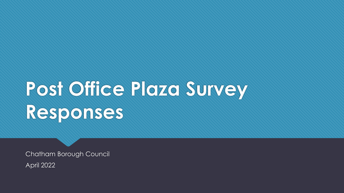# **Post Office Plaza Survey Responses**

Chatham Borough Council April 2022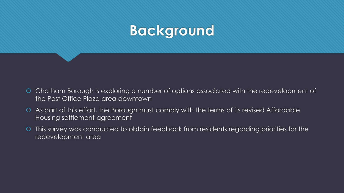

- Chatham Borough is exploring a number of options associated with the redevelopment of the Post Office Plaza area downtown
- As part of this effort, the Borough must comply with the terms of its revised Affordable Housing settlement agreement
- This survey was conducted to obtain feedback from residents regarding priorities for the redevelopment area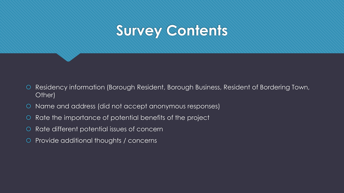# **Survey Contents**

- O Residency information (Borough Resident, Borough Business, Resident of Bordering Town, Other)
- Name and address (did not accept anonymous responses)
- O Rate the importance of potential benefits of the project
- Rate different potential issues of concern
- Provide additional thoughts / concerns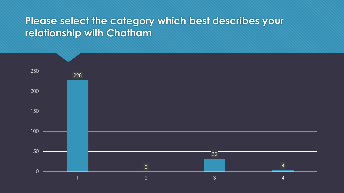### **Please select the category which best describes your relationship with Chatham**

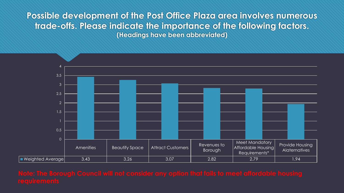**Possible development of the Post Office Plaza area involves numerous trade-offs. Please indicate the importance of the following factors. (Headings have been abbreviated)** 

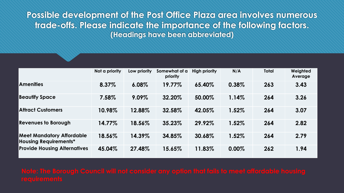**Possible development of the Post Office Plaza area involves numerous trade-offs. Please indicate the importance of the following factors. (Headings have been abbreviated)**

|                                                                  | Not a priority | Low priority | Somewhat of a<br>priority | <b>High priority</b> | N/A   | <b>Total</b> | Weighted<br>Average |
|------------------------------------------------------------------|----------------|--------------|---------------------------|----------------------|-------|--------------|---------------------|
| <b>Amenities</b>                                                 | 8.37%          | 6.08%        | 19.77%                    | 65.40%               | 0.38% | 263          | 3.43                |
| <b>Beautify Space</b>                                            | 7.58%          | 9.09%        | 32.20%                    | 50.00%               | 1.14% | 264          | 3.26                |
| <b>Attract Customers</b>                                         | 10.98%         | 12.88%       | 32.58%                    | 42.05%               | 1.52% | 264          | 3.07                |
| <b>Revenues to Borough</b>                                       | 14.77%         | 18.56%       | 35.23%                    | 29.92%               | 1.52% | 264          | 2.82                |
| <b>Meet Mandatory Affordable</b><br><b>Housing Requirements*</b> | 18.56%         | 14.39%       | 34.85%                    | 30.68%               | 1.52% | 264          | 2.79                |
| <b>Provide Housing Alternatives</b>                              | 45.04%         | 27.48%       | 15.65%                    | 11.83%               | 0.00% | 262          | 1.94                |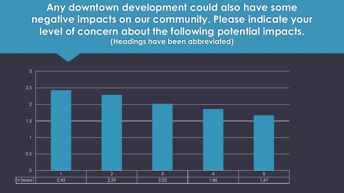**Any downtown development could also have some negative impacts on our community. Please indicate your level of concern about the following potential impacts. (Headings have been abbreviated)**

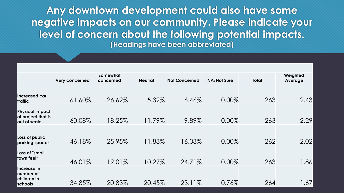**Any downtown development could also have some negative impacts on our community. Please indicate your level of concern about the following potential impacts. (Headings have been abbreviated)** 

|                                              | <b>Very concerned</b> | Somewhat<br>concerned | <b>Neutral</b> | <b>Not Concerned</b> | <b>NA/Not Sure</b> | Total | Weighted<br>Average |
|----------------------------------------------|-----------------------|-----------------------|----------------|----------------------|--------------------|-------|---------------------|
| <b>Increased car</b>                         |                       |                       |                |                      |                    |       |                     |
| traffic                                      | 61.60%                | 26.62%                | 5.32%          | 6.46%                | 0.00%              | 263   | 2.43                |
| <b>Physical impact</b><br>of project that is |                       |                       |                |                      |                    |       |                     |
| out of scale                                 | 60.08%                | 18.25%                | 11.79%         | 9.89%                | 0.00%              | 263   | 2.29                |
|                                              |                       |                       |                |                      |                    |       |                     |
| Loss of public<br>parking spaces             | 46.18%                | 25.95%                | 11.83%         | 16.03%               | 0.00%              | 262   | 2.02                |
| <b>Loss of "small</b>                        |                       |                       |                |                      |                    |       |                     |
| town feel"                                   | 46.01%                | 19.01%                | 10.27%         | 24.71%               | 0.00%              | 263   | 1.86                |
| Increase in<br>number of<br>children in      |                       |                       |                |                      |                    |       |                     |
| schools                                      | 34.85%                | 20.83%                | 20.45%         | 23.11%               | 0.76%              | 264   | .67                 |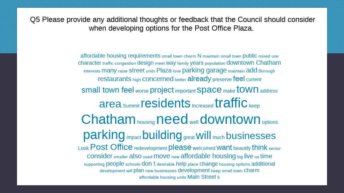**Please provide any additional thoughts or feedback that the**  when developing options for the Post Office Plaza.

> affordable housing requirements small town charm N maintain small town public mixed use character traffic congestion design meet Way family years population downtown Chatham interests many raise street units Plaza love parking garage maintain add Borough restaurants high concerned better already preserve feel current Small town feel worse project important Space make town address area summit residents Increased traffic keep Chatham housing need well downtown options parking impact building great Will much businesses Look Post Office redevelopment please welcomed Want beautify think senior CONSider smaller also used move new affordable housing big live us time supporting people schools don t desirable help place change housing options additional development will plan new businesses development keep small town Charm affordable housing units Main Street s